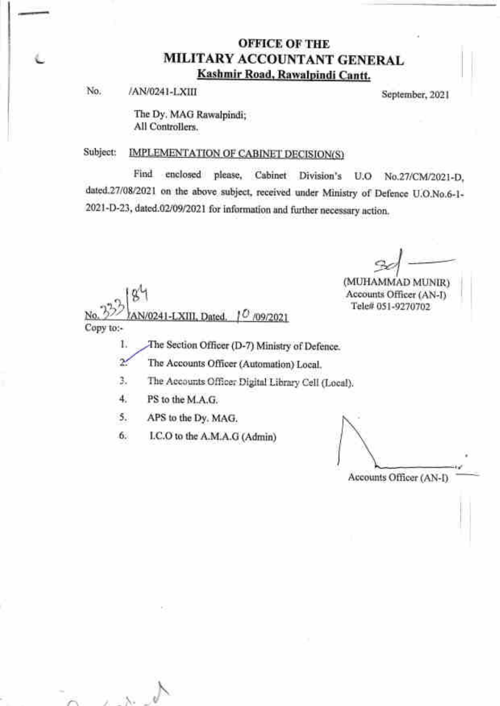## OFFICE OF THE MILITARY ACCOUNTANT GENERAL Kashmir Road. Rawalpindi Cantt.

No. /AN/0241-LXIII September, 2021

The Dy. MAG Rawalpindi; All Controllers.

## Subject: IMPLEMENTATION OF CABINET DECISION(S)

Find enclosed please, Cabinet Division's U.O No.27/CM/2021-D, dated.27/08/2021 on the above subject, received under Ministry of Defence U.O.No.6-1-2021-D-23, dated.02/09/2021 for information and further necessary action.

(MUHAMMAD MUNIR) Accounts Officer (AN-D Tele# 051-9270702

\* N/0241-LXIII, Dated.  $0'$  /09/2021 Copy to:-

1. The Section Officer (D-7) Ministry of Defence.

2. The Accounts Officer (Automation) Local.

3. The Accounts Officer Digital Library Cell (Local).

4. PS to the M.A.G.

 $2.16$ 

}\ b)

5. APS to the Dy. MAG.

6. I.C.O to the A.M.A.G (Admin)

Accounts Officer (AN-D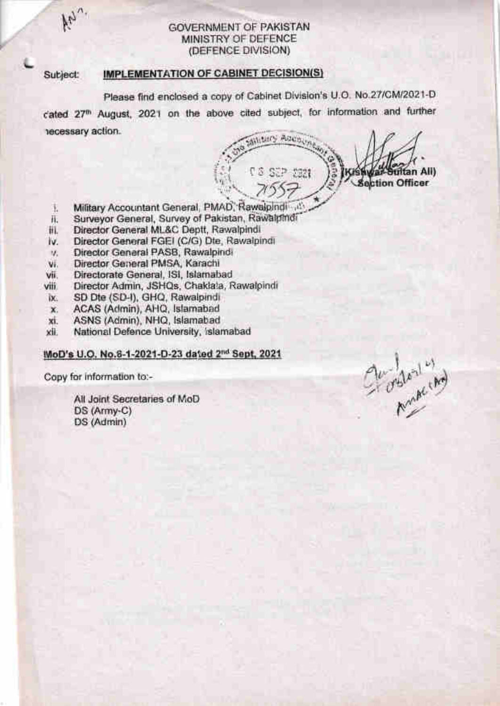#### GOVERNMENT OF PAKISTAN MINISTRY OF DEFENCE (DETENCE DIVISION)

#### Subject: IMPLEMENTATION OF CABINET DECISION(S)

Please find enclosed a copy of Cabinet Division's U.O. No.27/CM/2021-D cated 27<sup>th</sup> August, 2021 on the above cited subject, for information and further lecessary action

**SANDARY ADDISON** i: <sup>J</sup> tan Ali) T 3 SEP 5221 **Section Officer** .t \*

- i. Military Accountant General, PMAD, Rawaipindi
- ii. Surveyor General, Survey of Pakistan, Rawalpindi
- iii. Director General ML&C Deptt, Rawalpindi
- iv. Director General FGEI (ClG) Dte, Rawalpindi
- Director General PASB, Rawalpindi v.
- vi, Director General PMSA, Karachi
- vii. Directorate General, lSl, lslamabad
- viii. Director Admin, JSHQs, Chaklala, Rawalpindi
- ix. SD Dte (SD-I), GHQ, Rawalpindi
- x, ACAS (Admin), AHQ, Islamabad
- xi. ASNS (Admin), NHQ, Islamabad
- xii. National Defence University, Islamabad

### MoD's U.O. No.6-1-2021-D-23 dated 2<sup>nd</sup> Sept. 2021

Copy for information to:-

 $\mu_{\gamma}$ 

tL.

All Joint Secretaries of MoD DS (Army-C) DS (Admin)

 $\frac{1}{2}$  $\mathcal{C}^*$  orbital ind  $\checkmark$